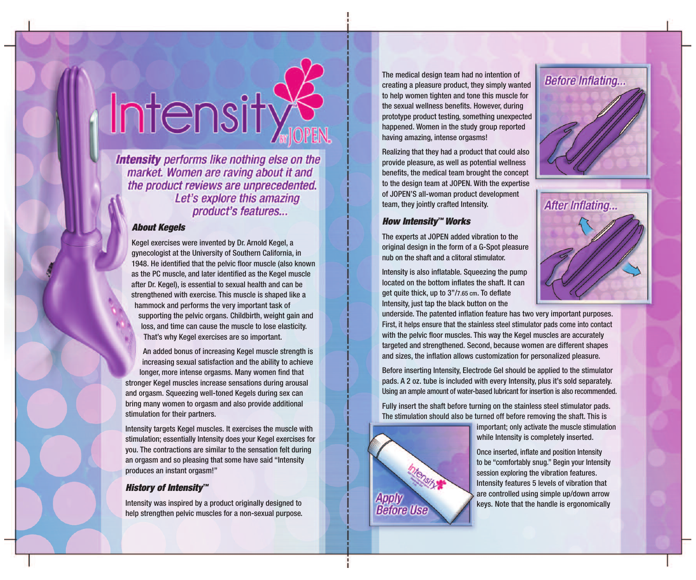## Intensity

**Intensity** performs like nothing else on the market. Women are raving about it and the product reviews are unprecedented. Let's explore this amazing product's features...

#### *About Kegels*

Kegel exercises were invented by Dr. Arnold Kegel, a gynecologist at the University of Southern California, in 1948. He identified that the pelvic floor muscle (also known as the PC muscle, and later identified as the Kegel muscle after Dr. Kegel), is essential to sexual health and can be strengthened with exercise. This muscle is shaped like a hammock and performs the very important task of supporting the pelvic organs. Childbirth, weight gain and loss, and time can cause the muscle to lose elasticity. That's why Kegel exercises are so important.

An added bonus of increasing Kegel muscle strength is increasing sexual satisfaction and the ability to achieve longer, more intense orgasms. Many women find that stronger Kegel muscles increase sensations during arousal and orgasm. Squeezing well-toned Kegels during sex can bring many women to orgasm and also provide additional stimulation for their partners.

Intensity targets Kegel muscles. It exercises the muscle with stimulation; essentially Intensity does your Kegel exercises for you. The contractions are similar to the sensation felt during an orgasm and so pleasing that some have said "Intensity produces an instant orgasm!"

#### *History of Intensity™*

Intensity was inspired by a product originally designed to help strengthen pelvic muscles for a non-sexual purpose.

The medical design team had no intention of creating a pleasure product, they simply wanted to help women tighten and tone this muscle for the sexual wellness benefits. However, during prototype product testing, something unexpected happened. Women in the study group reported having amazing, intense orgasms!

Realizing that they had a product that could also provide pleasure, as well as potential wellness benefits, the medical team brought the concept to the design team at JOPEN. With the expertise of JOPEN'S all-woman product development team, they jointly crafted Intensity.

#### *How Intensity™ Works*

The experts at JOPEN added vibration to the original design in the form of a G-Spot pleasure nub on the shaft and a clitoral stimulator.

Intensity is also inflatable. Squeezing the pump located on the bottom inflates the shaft. It can get quite thick, up to 3"/7.65 cm. To deflate Intensity, just tap the black button on the

underside. The patented inflation feature has two very important purposes. First, it helps ensure that the stainless steel stimulator pads come into contact with the pelvic floor muscles. This way the Kegel muscles are accurately targeted and strengthened. Second, because women are different shapes and sizes, the inflation allows customization for personalized pleasure.

Before inserting Intensity, Electrode Gel should be applied to the stimulator pads. A 2 oz. tube is included with every Intensity, plus it's sold separately. Using an ample amount of water-based lubricant for insertion is also recommended.

Fully insert the shaft before turning on the stainless steel stimulator pads. The stimulation should also be turned off before removing the shaft. This is



important; only activate the muscle stimulation while Intensity is completely inserted.

Once inserted, inflate and position Intensity to be "comfortably snug." Begin your Intensity session exploring the vibration features. Intensity features 5 levels of vibration that are controlled using simple up/down arrow keys. Note that the handle is ergonomically